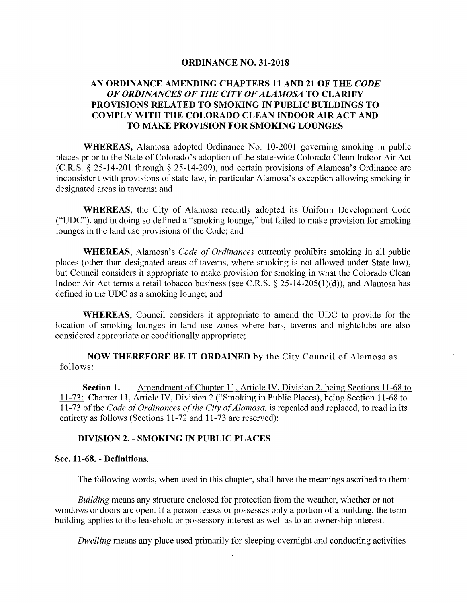#### **ORDINANCE NO. 31-2018**

# **AN ORDINANCE AMENDING CHAPTERS 11 AND 21 OF THE** *CODE OF ORDINANCES OF THE CITY OF ALAMOSA* **TO CLARIFY PROVISIONS RELATED TO SMOKING IN PUBLIC BUILDINGS TO COMPLY WITH THE COLORADO CLEAN INDOOR AIR ACT AND TO MAKE PROVISION FOR SMOKING LOUNGES**

**WHEREAS,** Alamosa adopted Ordinance No. 10-2001 governing smoking in public places prior to the State of Colorado's adoption of the state-wide Colorado Clean Indoor Air Act (C.R.S. § 25-14-201 through§ 25-14-209), and certain provisions of Alamosa's Ordinance are inconsistent with provisions of state law, in particular Alamosa's exception allowing smoking in designated areas in taverns; and

**WHEREAS,** the City of Alamosa recently adopted its Uniform Development Code ("UDC"), and in doing so defined a "smoking lounge," but failed to make provision for smoking lounges in the land use provisions of the Code; and

**WHEREAS,** Alamosa's *Code of Ordinances* currently prohibits smoking in all public places (other than designated areas of taverns, where smoking is not allowed under State law), but Council considers it appropriate to make provision for smoking in what the Colorado Clean Indoor Air Act terms a retail tobacco business (see C.R.S.  $\S$  25-14-205(1)(d)), and Alamosa has defined in the UDC as a smoking lounge; and

**WHEREAS,** Council considers it appropriate to amend the UDC to provide for the location of smoking lounges in land use zones where bars, taverns and nightclubs are also considered appropriate or conditionally appropriate;

**NOW THEREFORE BE IT ORDAINED** by the City Council of Alamosa as follows:

**Section 1.** Amendment of Chapter 11, Article IV, Division 2, being Sections 11-68 to 11-73: Chapter 11, Article IV, Division 2 ("Smoking in Public Places), being Section 11-68 to 11-73 of the *Code of Ordinances of the City of Alamosa*, is repealed and replaced, to read in its entirety as follows (Sections 11-72 and 11-73 are reserved):

## **DIVISION 2. - SMOKING IN PUBLIC PLACES**

#### **Sec. 11-68. - Definitions.**

The following words, when used in this chapter, shall have the meanings ascribed to them:

*Building* means any structure enclosed for protection from the weather, whether or not windows or doors are open. If a person leases or possesses only a portion of a building, the term building applies to the leasehold or possessory interest as well as to an ownership interest.

*Dwelling* means any place used primarily for sleeping overnight and conducting activities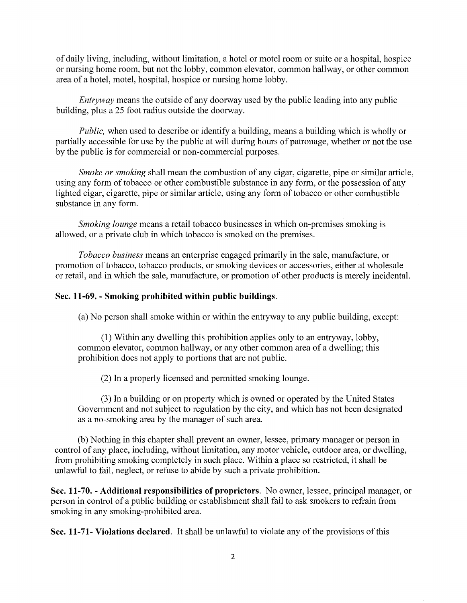of daily living, including, without limitation, a hotel or motel room or suite or a hospital, hospice or nursing home room, but not the lobby, common elevator, common hallway, or other common area of a hotel, motel, hospital, hospice or nursing home lobby.

*Entryway* means the outside of any doorway used by the public leading into any public building, plus a 25 foot radius outside the doorway.

*Public,* when used to describe or identify a building, means a building which is wholly or partially accessible for use by the public at will during hours of patronage, whether or not the use by the public is for commercial or non-commercial purposes.

*Smoke or smoking* shall mean the combustion of any cigar, cigarette, pipe or similar article, using any form of tobacco or other combustible substance in any form, or the possession of any lighted cigar, cigarette, pipe or similar article, using any form of tobacco or other combustible substance in any form.

*Smoking lounge* means a retail tobacco businesses in which on-premises smoking is allowed, or a private club in which tobacco is smoked on the premises.

*Tobacco business* means an enterprise engaged primarily in the sale, manufacture, or promotion of tobacco, tobacco products, or smoking devices or accessories, either at wholesale or retail, and in which the sale, manufacture, or promotion of other products is merely incidental.

## **Sec. 11-69. - Smoking prohibited within public buildings.**

(a) No person shall smoke within or within the entryway to any public building, except:

(1) Within any dwelling this prohibition applies only to an entryway, lobby, common elevator, common hallway, or any other common area of a dwelling; this prohibition does not apply to portions that are not public.

(2) In a properly licensed and permitted smoking lounge.

(3) In a building or on property which is owned or operated by the United States Government and not subject to regulation by the city, and which has not been designated as a no-smoking area by the manager of such area.

(b) Nothing in this chapter shall prevent an owner, lessee, primary manager or person in control of any place, including, without limitation, any motor vehicle, outdoor area, or dwelling, from prohibiting smoking completely in such place. Within a place so restricted, it shall be unlawful to fail, neglect, or refuse to abide by such a private prohibition.

**Sec. 11-70. - Additional responsibilities of proprietors.** No owner, lessee, principal manager, or person in control of a public building or establishment shall fail to ask smokers to refrain from smoking in any smoking-prohibited area.

**Sec. 11-71- Violations declared.** It shall be unlawful to violate any of the provisions of this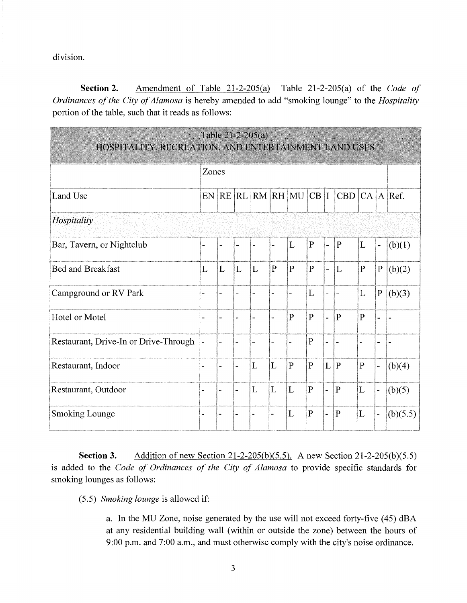division.

Section 2. Amendment of Table  $21-2-205(a)$  Table 21-2-205(a) of the Code of Ordinances of the City of Alamosa is hereby amended to add "smoking lounge" to the Hospitality portion of the table, such that it reads as follows:

| Table 21-2-205(a)<br>HOSPITALITY, RECREATION, AND ENTERTAINMENT LAND USES |       |           |                          |   |              |                          |                |    |                   |              |                          |          |
|---------------------------------------------------------------------------|-------|-----------|--------------------------|---|--------------|--------------------------|----------------|----|-------------------|--------------|--------------------------|----------|
|                                                                           | Zones |           |                          |   |              |                          |                |    |                   |              |                          |          |
| Land Use                                                                  | EN    | <b>RE</b> |                          |   |              | $\rm  RL RM RH MU CB I $ |                |    | CBD $ CA A $ Ref. |              |                          |          |
| Hospitality                                                               |       |           |                          |   |              |                          |                |    |                   |              |                          |          |
| Bar, Tavern, or Nightclub                                                 |       |           |                          |   |              | L                        | $\mathbf{P}$   | u, | $\mathbf{P}$      | L            | $\overline{a}$           | (b)(1)   |
| <b>Bed and Breakfast</b>                                                  | L     | L         | L                        | L | $\mathbf{P}$ | $\mathbf{P}$             | $\mathbf{P}$   | w. | $\mathbf{L}$      | $\mathbf{P}$ | $\mathbf{P}$             | (b)(2)   |
| Campground or RV Park                                                     |       |           |                          |   |              |                          | L              |    |                   | L            | $\mathbf{P}$             | (b)(3)   |
| Hotel or Motel                                                            |       |           |                          |   |              | $\mathbf{P}$             | $\overline{P}$ |    | $\mathbf{P}$      | P            | $\overline{\phantom{a}}$ |          |
| Restaurant, Drive-In or Drive-Through                                     |       |           |                          |   |              |                          | $\mathbf{P}$   |    |                   |              |                          |          |
| Restaurant, Indoor                                                        |       |           | $\overline{a}$           | L | L            | $\mathbf{P}$             | $\mathbf{P}$   | L  | P                 | $\mathbf{P}$ |                          | (b)(4)   |
| Restaurant, Outdoor                                                       |       |           | $\overline{\phantom{a}}$ | L | L            | L                        | $\mathbf{P}$   |    | $\mathbf{P}$      | L            |                          | (b)(5)   |
| <b>Smoking Lounge</b>                                                     |       |           |                          |   |              | L                        | $\mathbf{P}$   |    | $\overline{P}$    | L            | $\overline{\phantom{0}}$ | (b)(5.5) |

Addition of new Section 21-2-205(b)(5.5). A new Section 21-2-205(b)(5.5) Section 3. is added to the Code of Ordinances of the City of Alamosa to provide specific standards for smoking lounges as follows:

(5.5) Smoking lounge is allowed if:

a. In the MU Zone, noise generated by the use will not exceed forty-five (45) dBA at any residential building wall (within or outside the zone) between the hours of 9:00 p.m. and 7:00 a.m., and must otherwise comply with the city's noise ordinance.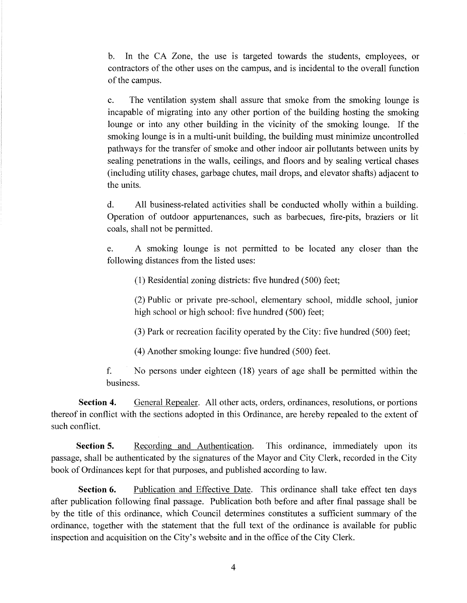b. In the CA Zone, the use is targeted towards the students, employees, or contractors of the other uses on the campus, and is incidental to the overall function of the campus.

c. The ventilation system shall assure that smoke from the smoking lounge is incapable of migrating into any other portion of the building hosting the smoking lounge or into any other building in the vicinity of the smoking lounge. If the smoking lounge is in a multi-unit building, the building must minimize uncontrolled pathways for the transfer of smoke and other indoor air pollutants between units by sealing penetrations in the walls, ceilings, and floors and by sealing vertical chases (including utility chases, garbage chutes, mail drops, and elevator shafts) adjacent to the units.

d. All business-related activities shall be conducted wholly within a building. Operation of outdoor appurtenances, such as barbecues, fire-pits, braziers or lit coals, shall not be permitted.

e. A smoking lounge is not permitted to be located any closer than the following distances from the listed uses:

(1) Residential zoning districts: five hundred (500) feet;

(2) Public or private pre-school, elementary school, middle school, junior high school or high school: five hundred (500) feet;

(3) Park or recreation facility operated by the City: five hundred (500) feet;

(4) Another smoking lounge: five hundred (500) feet.

f. No persons under eighteen (18) years of age shall be permitted within the business.

**Section 4.** General Repealer. All other acts, orders, ordinances, resolutions, or portions thereof in conflict with the sections adopted in this Ordinance, are hereby repealed to the extent of such conflict.

**Section 5.** Recording and Authentication. This ordinance, immediately upon its passage, shall be authenticated by the signatures of the Mayor and City Clerk, recorded in the City book of Ordinances kept for that purposes, and published according to law.

**Section 6.** Publication and Effective Date. This ordinance shall take effect ten days after publication following final passage. Publication both before and after final passage shall be by the title of this ordinance, which Council determines constitutes a sufficient summary of the ordinance, together with the statement that the full text of the ordinance is available for public inspection and acquisition on the City's website and in the office of the City Clerk.